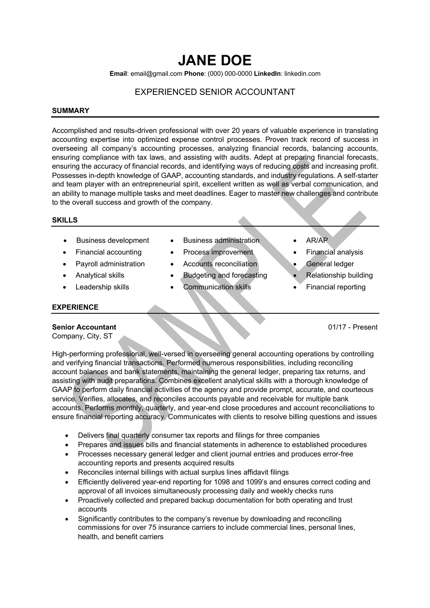# **JANE DOE**

**Email**: email@gmail.com **Phone**: (000) 000-0000 **LinkedIn**: linkedin.com

# EXPERIENCED SENIOR ACCOUNTANT

#### **SUMMARY**

Accomplished and results-driven professional with over 20 years of valuable experience in translating accounting expertise into optimized expense control processes. Proven track record of success in overseeing all company's accounting processes, analyzing financial records, balancing accounts, ensuring compliance with tax laws, and assisting with audits. Adept at preparing financial forecasts, ensuring the accuracy of financial records, and identifying ways of reducing costs and increasing profit. Possesses in-depth knowledge of GAAP, accounting standards, and industry regulations. A self-starter and team player with an entrepreneurial spirit, excellent written as well as verbal communication, and an ability to manage multiple tasks and meet deadlines. Eager to master new challenges and contribute to the overall success and growth of the company.

#### **SKILLS**

- 
- 
- 
- 
- 
- Business development Business administration AR/AP
- Financial accounting Process improvement Financial analysis
- **Payroll administration** Accounts reconciliation General ledger
- Analytical skills Budgeting and forecasting Relationship building
	- **Leadership skills Communication skills Financial reporting**
- 
- 
- 
- 
- 

## **EXPERIENCE**

### **Senior Accountant** 01/17 - Present

Company, City, ST

High-performing professional, well-versed in overseeing general accounting operations by controlling and verifying financial transactions. Performed numerous responsibilities, including reconciling account balances and bank statements, maintaining the general ledger, preparing tax returns, and assisting with audit preparations. Combines excellent analytical skills with a thorough knowledge of GAAP to perform daily financial activities of the agency and provide prompt, accurate, and courteous service. Verifies, allocates, and reconciles accounts payable and receivable for multiple bank accounts. Performs monthly, quarterly, and year-end close procedures and account reconciliations to ensure financial reporting accuracy. Communicates with clients to resolve billing questions and issues

- Delivers final quarterly consumer tax reports and filings for three companies
- Prepares and issues bills and financial statements in adherence to established procedures
- Processes necessary general ledger and client journal entries and produces error-free accounting reports and presents acquired results
- Reconciles internal billings with actual surplus lines affidavit filings
- Efficiently delivered year-end reporting for 1098 and 1099's and ensures correct coding and approval of all invoices simultaneously processing daily and weekly checks runs
- Proactively collected and prepared backup documentation for both operating and trust accounts
- Significantly contributes to the company's revenue by downloading and reconciling commissions for over 75 insurance carriers to include commercial lines, personal lines, health, and benefit carriers